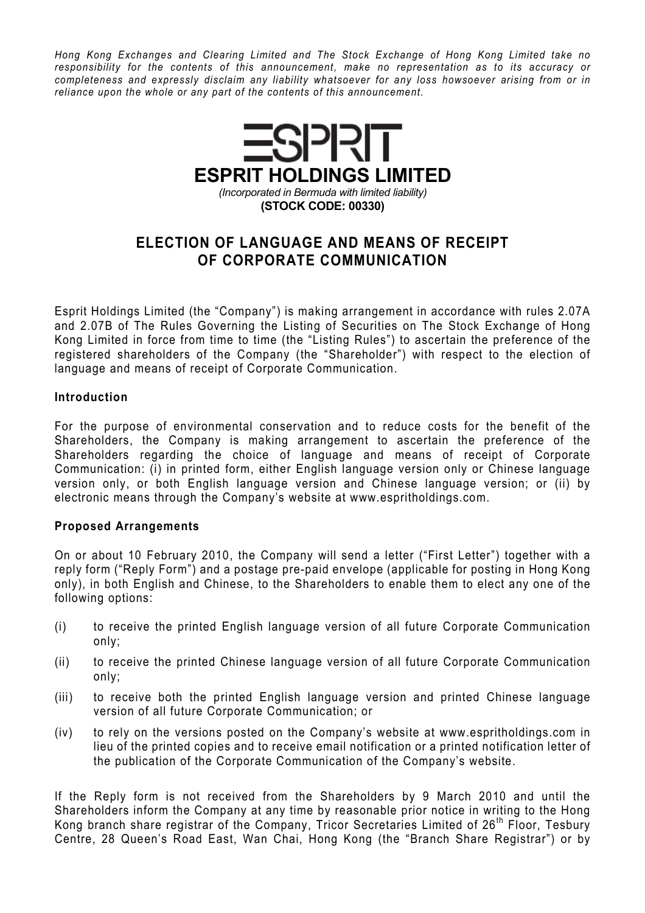Hong Kong Exchanges and Clearing Limited and The Stock Exchange of Hong Kong Limited take no responsibility for the contents of this announcement, make no representation as to its accuracy or completeness and expressly disclaim any liability whatsoever for any loss howsoever arising from or in reliance upon the whole or any part of the contents of this announcement.



## ELECTION OF LANGUAGE AND MEANS OF RECEIPT OF CORPORATE COMMUNICATION

Esprit Holdings Limited (the "Company") is making arrangement in accordance with rules 2.07A and 2.07B of The Rules Governing the Listing of Securities on The Stock Exchange of Hong Kong Limited in force from time to time (the "Listing Rules") to ascertain the preference of the registered shareholders of the Company (the "Shareholder") with respect to the election of language and means of receipt of Corporate Communication.

## Introduction

For the purpose of environmental conservation and to reduce costs for the benefit of the Shareholders, the Company is making arrangement to ascertain the preference of the Shareholders regarding the choice of language and means of receipt of Corporate Communication: (i) in printed form, either English language version only or Chinese language version only, or both English language version and Chinese language version; or (ii) by electronic means through the Company's website at www.espritholdings.com.

## Proposed Arrangements

On or about 10 February 2010, the Company will send a letter ("First Letter") together with a reply form ("Reply Form") and a postage pre-paid envelope (applicable for posting in Hong Kong only), in both English and Chinese, to the Shareholders to enable them to elect any one of the following options:

- (i) to receive the printed English language version of all future Corporate Communication only;
- (ii) to receive the printed Chinese language version of all future Corporate Communication only;
- (iii) to receive both the printed English language version and printed Chinese language version of all future Corporate Communication; or
- (iv) to rely on the versions posted on the Company's website at www.espritholdings.com in lieu of the printed copies and to receive email notification or a printed notification letter of the publication of the Corporate Communication of the Company's website.

If the Reply form is not received from the Shareholders by 9 March 2010 and until the Shareholders inform the Company at any time by reasonable prior notice in writing to the Hong Kong branch share registrar of the Company, Tricor Secretaries Limited of  $26<sup>th</sup>$  Floor, Tesbury Centre, 28 Queen's Road East, Wan Chai, Hong Kong (the "Branch Share Registrar") or by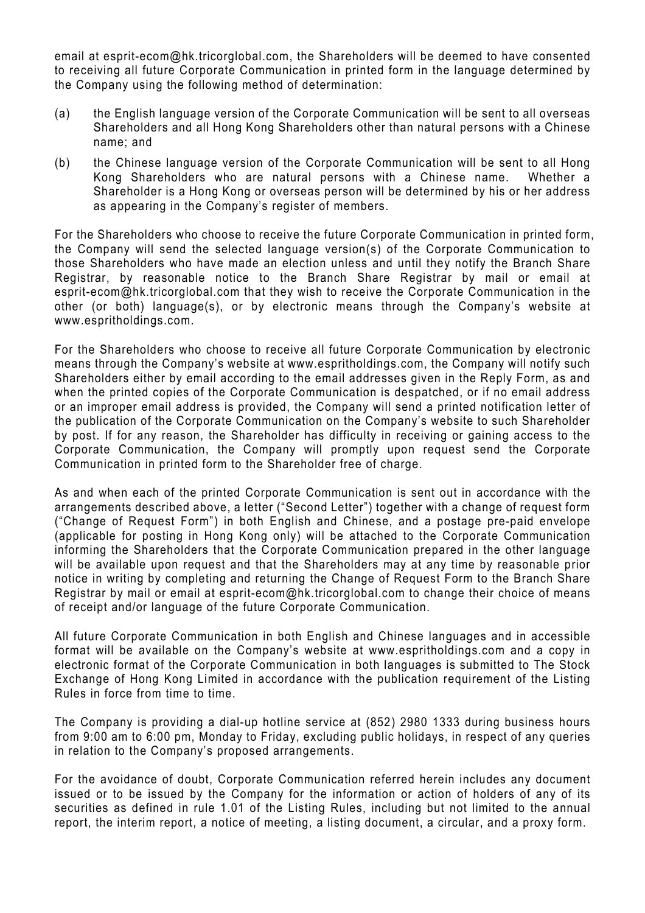email at esprit-ecom@hk.tricorglobal.com, the Shareholders will be deemed to have consented to receiving all future Corporate Communication in printed form in the language determined by the Company using the following method of determination:

- (a) the English language version of the Corporate Communication will be sent to all overseas Shareholders and all Hong Kong Shareholders other than natural persons with a Chinese name; and
- (b) the Chinese language version of the Corporate Communication will be sent to all Hong Kong Shareholders who are natural persons with a Chinese name. Whether a Shareholder is a Hong Kong or overseas person will be determined by his or her address as appearing in the Company's register of members.

For the Shareholders who choose to receive the future Corporate Communication in printed form, the Company will send the selected language version(s) of the Corporate Communication to those Shareholders who have made an election unless and until they notify the Branch Share Registrar, by reasonable notice to the Branch Share Registrar by mail or email at esprit-ecom@hk.tricorglobal.com that they wish to receive the Corporate Communication in the other (or both) language(s), or by electronic means through the Company's website at www.espritholdings.com.

For the Shareholders who choose to receive all future Corporate Communication by electronic means through the Company's website at www.espritholdings.com, the Company will notify such Shareholders either by email according to the email addresses given in the Reply Form, as and when the printed copies of the Corporate Communication is despatched, or if no email address or an improper email address is provided, the Company will send a printed notification letter of the publication of the Corporate Communication on the Company's website to such Shareholder by post. If for any reason, the Shareholder has difficulty in receiving or gaining access to the Corporate Communication, the Company will promptly upon request send the Corporate Communication in printed form to the Shareholder free of charge.

As and when each of the printed Corporate Communication is sent out in accordance with the arrangements described above, a letter ("Second Letter") together with a change of request form ("Change of Request Form") in both English and Chinese, and a postage pre-paid envelope (applicable for posting in Hong Kong only) will be attached to the Corporate Communication informing the Shareholders that the Corporate Communication prepared in the other language will be available upon request and that the Shareholders may at any time by reasonable prior notice in writing by completing and returning the Change of Request Form to the Branch Share Registrar by mail or email at esprit-ecom@hk.tricorglobal.com to change their choice of means of receipt and/or language of the future Corporate Communication.

All future Corporate Communication in both English and Chinese languages and in accessible format will be available on the Company's website at www.espritholdings.com and a copy in electronic format of the Corporate Communication in both languages is submitted to The Stock Exchange of Hong Kong Limited in accordance with the publication requirement of the Listing Rules in force from time to time.

The Company is providing a dial-up hotline service at (852) 2980 1333 during business hours from 9:00 am to 6:00 pm, Monday to Friday, excluding public holidays, in respect of any queries in relation to the Company's proposed arrangements.

For the avoidance of doubt, Corporate Communication referred herein includes any document issued or to be issued by the Company for the information or action of holders of any of its securities as defined in rule 1.01 of the Listing Rules, including but not limited to the annual report, the interim report, a notice of meeting, a listing document, a circular, and a proxy form.